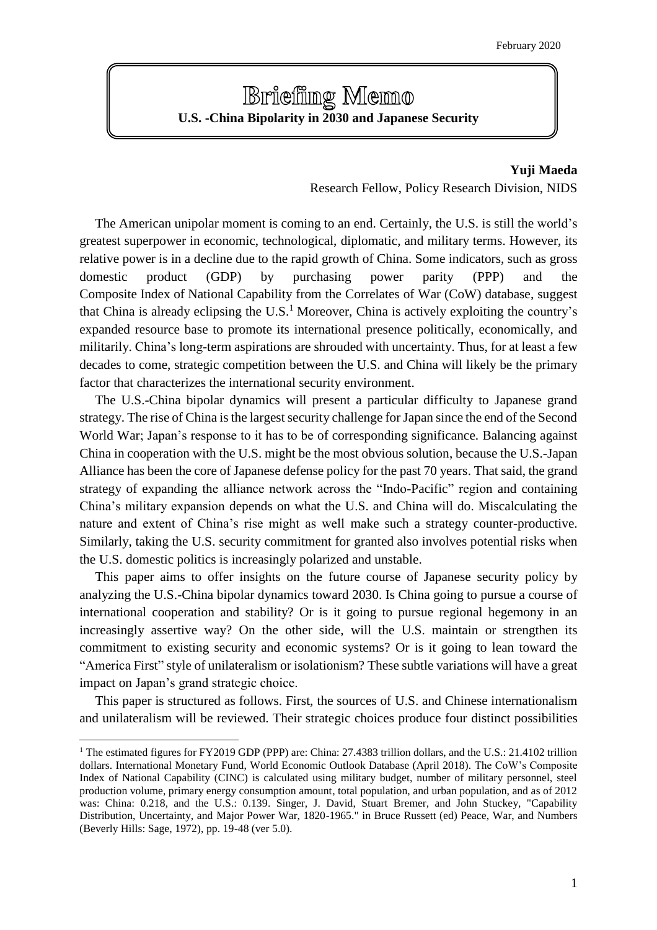# **Brieffing Memo U.S. -China Bipolarity in 2030 and Japanese Security**

## **Yuji Maeda** Research Fellow, Policy Research Division, NIDS

The American unipolar moment is coming to an end. Certainly, the U.S. is still the world's greatest superpower in economic, technological, diplomatic, and military terms. However, its relative power is in a decline due to the rapid growth of China. Some indicators, such as gross domestic product (GDP) by purchasing power parity (PPP) and the Composite Index of National Capability from the Correlates of War (CoW) database, suggest that China is already eclipsing the U.S.<sup>1</sup> Moreover, China is actively exploiting the country's expanded resource base to promote its international presence politically, economically, and militarily. China's long-term aspirations are shrouded with uncertainty. Thus, for at least a few decades to come, strategic competition between the U.S. and China will likely be the primary factor that characterizes the international security environment.

The U.S.-China bipolar dynamics will present a particular difficulty to Japanese grand strategy. The rise of China is the largest security challenge for Japan since the end of the Second World War; Japan's response to it has to be of corresponding significance. Balancing against China in cooperation with the U.S. might be the most obvious solution, because the U.S.-Japan Alliance has been the core of Japanese defense policy for the past 70 years. That said, the grand strategy of expanding the alliance network across the "Indo-Pacific" region and containing China's military expansion depends on what the U.S. and China will do. Miscalculating the nature and extent of China's rise might as well make such a strategy counter-productive. Similarly, taking the U.S. security commitment for granted also involves potential risks when the U.S. domestic politics is increasingly polarized and unstable.

This paper aims to offer insights on the future course of Japanese security policy by analyzing the U.S.-China bipolar dynamics toward 2030. Is China going to pursue a course of international cooperation and stability? Or is it going to pursue regional hegemony in an increasingly assertive way? On the other side, will the U.S. maintain or strengthen its commitment to existing security and economic systems? Or is it going to lean toward the "America First" style of unilateralism or isolationism? These subtle variations will have a great impact on Japan's grand strategic choice.

This paper is structured as follows. First, the sources of U.S. and Chinese internationalism and unilateralism will be reviewed. Their strategic choices produce four distinct possibilities

<sup>&</sup>lt;sup>1</sup> The estimated figures for FY2019 GDP (PPP) are: China: 27.4383 trillion dollars, and the U.S.: 21.4102 trillion dollars. International Monetary Fund, World Economic Outlook Database (April 2018). The CoW's Composite Index of National Capability (CINC) is calculated using military budget, number of military personnel, steel production volume, primary energy consumption amount, total population, and urban population, and as of 2012 was: China: 0.218, and the U.S.: 0.139. Singer, J. David, Stuart Bremer, and John Stuckey, "Capability Distribution, Uncertainty, and Major Power War, 1820-1965." in Bruce Russett (ed) Peace, War, and Numbers (Beverly Hills: Sage, 1972), pp. 19-48 (ver 5.0).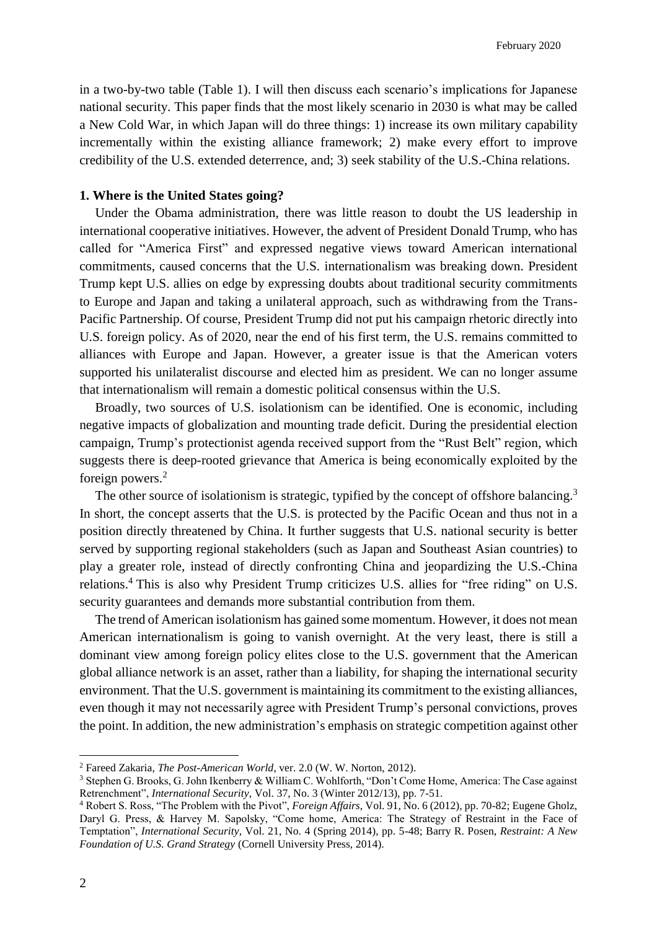in a two-by-two table (Table 1). I will then discuss each scenario's implications for Japanese national security. This paper finds that the most likely scenario in 2030 is what may be called a New Cold War, in which Japan will do three things: 1) increase its own military capability incrementally within the existing alliance framework; 2) make every effort to improve credibility of the U.S. extended deterrence, and; 3) seek stability of the U.S.-China relations.

#### **1. Where is the United States going?**

Under the Obama administration, there was little reason to doubt the US leadership in international cooperative initiatives. However, the advent of President Donald Trump, who has called for "America First" and expressed negative views toward American international commitments, caused concerns that the U.S. internationalism was breaking down. President Trump kept U.S. allies on edge by expressing doubts about traditional security commitments to Europe and Japan and taking a unilateral approach, such as withdrawing from the Trans-Pacific Partnership. Of course, President Trump did not put his campaign rhetoric directly into U.S. foreign policy. As of 2020, near the end of his first term, the U.S. remains committed to alliances with Europe and Japan. However, a greater issue is that the American voters supported his unilateralist discourse and elected him as president. We can no longer assume that internationalism will remain a domestic political consensus within the U.S.

Broadly, two sources of U.S. isolationism can be identified. One is economic, including negative impacts of globalization and mounting trade deficit. During the presidential election campaign, Trump's protectionist agenda received support from the "Rust Belt" region, which suggests there is deep-rooted grievance that America is being economically exploited by the foreign powers.<sup>2</sup>

The other source of isolationism is strategic, typified by the concept of offshore balancing.<sup>3</sup> In short, the concept asserts that the U.S. is protected by the Pacific Ocean and thus not in a position directly threatened by China. It further suggests that U.S. national security is better served by supporting regional stakeholders (such as Japan and Southeast Asian countries) to play a greater role, instead of directly confronting China and jeopardizing the U.S.-China relations.<sup>4</sup> This is also why President Trump criticizes U.S. allies for "free riding" on U.S. security guarantees and demands more substantial contribution from them.

The trend of American isolationism has gained some momentum. However, it does not mean American internationalism is going to vanish overnight. At the very least, there is still a dominant view among foreign policy elites close to the U.S. government that the American global alliance network is an asset, rather than a liability, for shaping the international security environment. That the U.S. government is maintaining its commitment to the existing alliances, even though it may not necessarily agree with President Trump's personal convictions, proves the point. In addition, the new administration's emphasis on strategic competition against other

<sup>2</sup> Fareed Zakaria, *The Post-American World*, ver. 2.0 (W. W. Norton, 2012).

<sup>&</sup>lt;sup>3</sup> Stephen G. Brooks, G. John Ikenberry & William C. Wohlforth, "Don't Come Home, America: The Case against Retrenchment", *International Security*, Vol. 37, No. 3 (Winter 2012/13), pp. 7-51.

<sup>4</sup> Robert S. Ross, "The Problem with the Pivot", *Foreign Affairs*, Vol. 91, No. 6 (2012), pp. 70-82; Eugene Gholz, Daryl G. Press, & Harvey M. Sapolsky, "Come home, America: The Strategy of Restraint in the Face of Temptation", *International Security*, Vol. 21, No. 4 (Spring 2014), pp. 5-48; Barry R. Posen, *Restraint: A New Foundation of U.S. Grand Strategy* (Cornell University Press, 2014).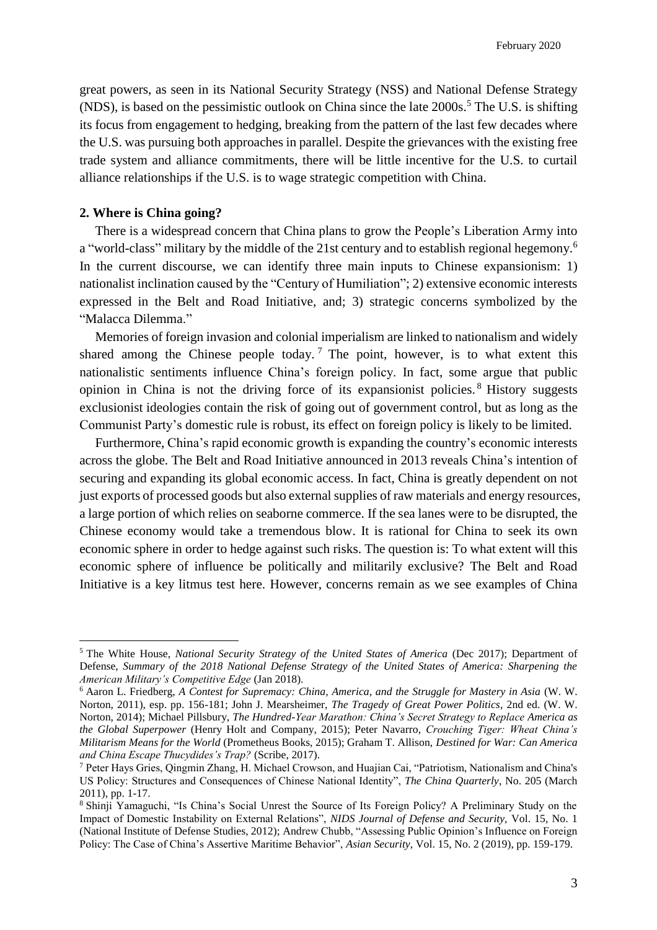great powers, as seen in its National Security Strategy (NSS) and National Defense Strategy (NDS), is based on the pessimistic outlook on China since the late  $2000s$ <sup>5</sup>. The U.S. is shifting its focus from engagement to hedging, breaking from the pattern of the last few decades where the U.S. was pursuing both approaches in parallel. Despite the grievances with the existing free trade system and alliance commitments, there will be little incentive for the U.S. to curtail alliance relationships if the U.S. is to wage strategic competition with China.

## **2. Where is China going?**

 $\overline{a}$ 

There is a widespread concern that China plans to grow the People's Liberation Army into a "world-class" military by the middle of the 21st century and to establish regional hegemony.<sup>6</sup> In the current discourse, we can identify three main inputs to Chinese expansionism: 1) nationalist inclination caused by the "Century of Humiliation"; 2) extensive economic interests expressed in the Belt and Road Initiative, and; 3) strategic concerns symbolized by the "Malacca Dilemma."

Memories of foreign invasion and colonial imperialism are linked to nationalism and widely shared among the Chinese people today.<sup>7</sup> The point, however, is to what extent this nationalistic sentiments influence China's foreign policy. In fact, some argue that public opinion in China is not the driving force of its expansionist policies. <sup>8</sup> History suggests exclusionist ideologies contain the risk of going out of government control, but as long as the Communist Party's domestic rule is robust, its effect on foreign policy is likely to be limited.

Furthermore, China's rapid economic growth is expanding the country's economic interests across the globe. The Belt and Road Initiative announced in 2013 reveals China's intention of securing and expanding its global economic access. In fact, China is greatly dependent on not just exports of processed goods but also external supplies of raw materials and energy resources, a large portion of which relies on seaborne commerce. If the sea lanes were to be disrupted, the Chinese economy would take a tremendous blow. It is rational for China to seek its own economic sphere in order to hedge against such risks. The question is: To what extent will this economic sphere of influence be politically and militarily exclusive? The Belt and Road Initiative is a key litmus test here. However, concerns remain as we see examples of China

<sup>5</sup> The White House, *National Security Strategy of the United States of America* (Dec 2017); Department of Defense, *Summary of the 2018 National Defense Strategy of the United States of America: Sharpening the American Military's Competitive Edge* (Jan 2018).

<sup>6</sup> Aaron L. Friedberg, *A Contest for Supremacy: China, America, and the Struggle for Mastery in Asia* (W. W. Norton, 2011), esp. pp. 156-181; John J. Mearsheimer, *The Tragedy of Great Power Politics*, 2nd ed. (W. W. Norton, 2014); Michael Pillsbury, *The Hundred-Year Marathon: China's Secret Strategy to Replace America as the Global Superpower* (Henry Holt and Company, 2015); Peter Navarro, *Crouching Tiger: Wheat China's Militarism Means for the World* (Prometheus Books, 2015); Graham T. Allison, *Destined for War: Can America and China Escape Thucydides's Trap?* (Scribe, 2017).

<sup>7</sup> Peter Hays Gries, Qingmin Zhang, H. Michael Crowson, and Huajian Cai, "Patriotism, Nationalism and China's US Policy: Structures and Consequences of Chinese National Identity", *The China Quarterly*, No. 205 (March 2011), pp. 1-17.

<sup>8</sup> Shinji Yamaguchi, "Is China's Social Unrest the Source of Its Foreign Policy? A Preliminary Study on the Impact of Domestic Instability on External Relations", *NIDS Journal of Defense and Security,* Vol. 15, No. 1 (National Institute of Defense Studies, 2012); Andrew Chubb, "Assessing Public Opinion's Influence on Foreign Policy: The Case of China's Assertive Maritime Behavior", *Asian Security*, Vol. 15, No. 2 (2019), pp. 159-179.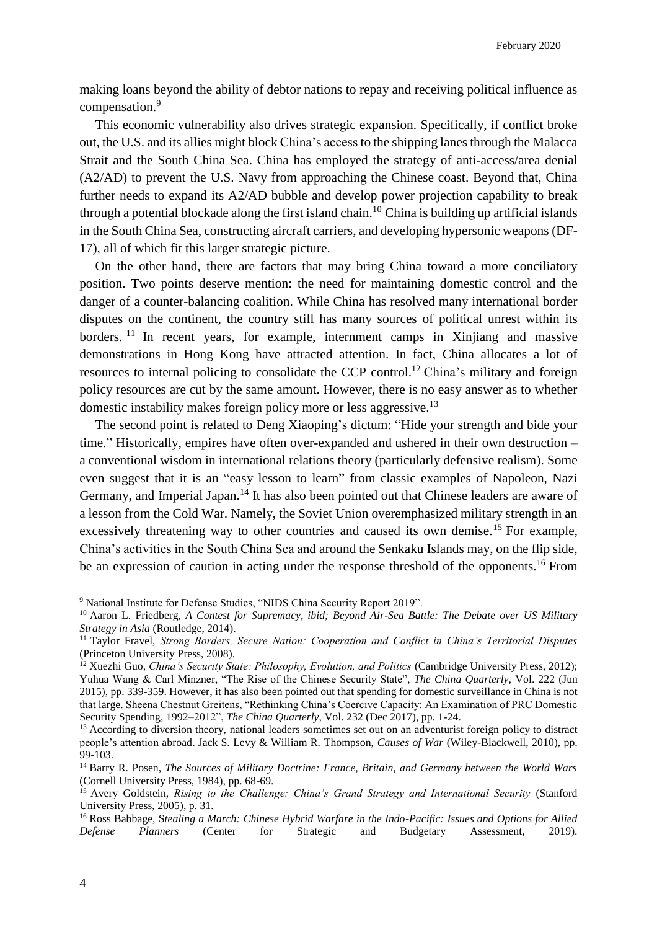making loans beyond the ability of debtor nations to repay and receiving political influence as compensation.<sup>9</sup>

This economic vulnerability also drives strategic expansion. Specifically, if conflict broke out, the U.S. and its allies might block China's access to the shipping lanes through the Malacca Strait and the South China Sea. China has employed the strategy of anti-access/area denial (A2/AD) to prevent the U.S. Navy from approaching the Chinese coast. Beyond that, China further needs to expand its A2/AD bubble and develop power projection capability to break through a potential blockade along the first island chain. <sup>10</sup> China is building up artificial islands in the South China Sea, constructing aircraft carriers, and developing hypersonic weapons (DF-17), all of which fit this larger strategic picture.

On the other hand, there are factors that may bring China toward a more conciliatory position. Two points deserve mention: the need for maintaining domestic control and the danger of a counter-balancing coalition. While China has resolved many international border disputes on the continent, the country still has many sources of political unrest within its borders.<sup>11</sup> In recent years, for example, internment camps in Xinjiang and massive demonstrations in Hong Kong have attracted attention. In fact, China allocates a lot of resources to internal policing to consolidate the CCP control.<sup>12</sup> China's military and foreign policy resources are cut by the same amount. However, there is no easy answer as to whether domestic instability makes foreign policy more or less aggressive.<sup>13</sup>

The second point is related to Deng Xiaoping's dictum: "Hide your strength and bide your time." Historically, empires have often over-expanded and ushered in their own destruction – a conventional wisdom in international relations theory (particularly defensive realism). Some even suggest that it is an "easy lesson to learn" from classic examples of Napoleon, Nazi Germany, and Imperial Japan.<sup>14</sup> It has also been pointed out that Chinese leaders are aware of a lesson from the Cold War. Namely, the Soviet Union overemphasized military strength in an excessively threatening way to other countries and caused its own demise.<sup>15</sup> For example, China's activities in the South China Sea and around the Senkaku Islands may, on the flip side, be an expression of caution in acting under the response threshold of the opponents.<sup>16</sup> From

<sup>9</sup> National Institute for Defense Studies, "NIDS China Security Report 2019".

<sup>10</sup> Aaron L. Friedberg, *A Contest for Supremacy, ibid; Beyond Air-Sea Battle: The Debate over US Military Strategy in Asia* (Routledge, 2014).

<sup>11</sup> Taylor Fravel, *Strong Borders, Secure Nation: Cooperation and Conflict in China's Territorial Disputes*  (Princeton University Press, 2008).

<sup>12</sup> Xuezhi Guo, *China's Security State: Philosophy, Evolution, and Politics* (Cambridge University Press, 2012); Yuhua Wang & Carl Minzner, "The Rise of the Chinese Security State", *The China Quarterly,* Vol. 222 (Jun 2015), pp. 339-359. However, it has also been pointed out that spending for domestic surveillance in China is not that large. Sheena Chestnut Greitens, "Rethinking China's Coercive Capacity: An Examination of PRC Domestic Security Spending, 1992–2012", *The China Quarterly*, Vol. 232 (Dec 2017), pp. 1-24.

<sup>&</sup>lt;sup>13</sup> According to diversion theory, national leaders sometimes set out on an adventurist foreign policy to distract people's attention abroad. Jack S. Levy & William R. Thompson, *Causes of War* (Wiley-Blackwell, 2010), pp.  $99-103.$ 

<sup>14</sup> Barry R. Posen, *The Sources of Military Doctrine: France, Britain, and Germany between the World Wars*  (Cornell University Press, 1984), pp. 68-69.

<sup>15</sup> Avery Goldstein, *Rising to the Challenge: China's Grand Strategy and International Security* (Stanford University Press, 2005), p. 31.

<sup>16</sup> Ross Babbage, S*tealing a March: Chinese Hybrid Warfare in the Indo-Pacific: Issues and Options for Allied Defense Planners* (Center for Strategic and Budgetary Assessment, 2019).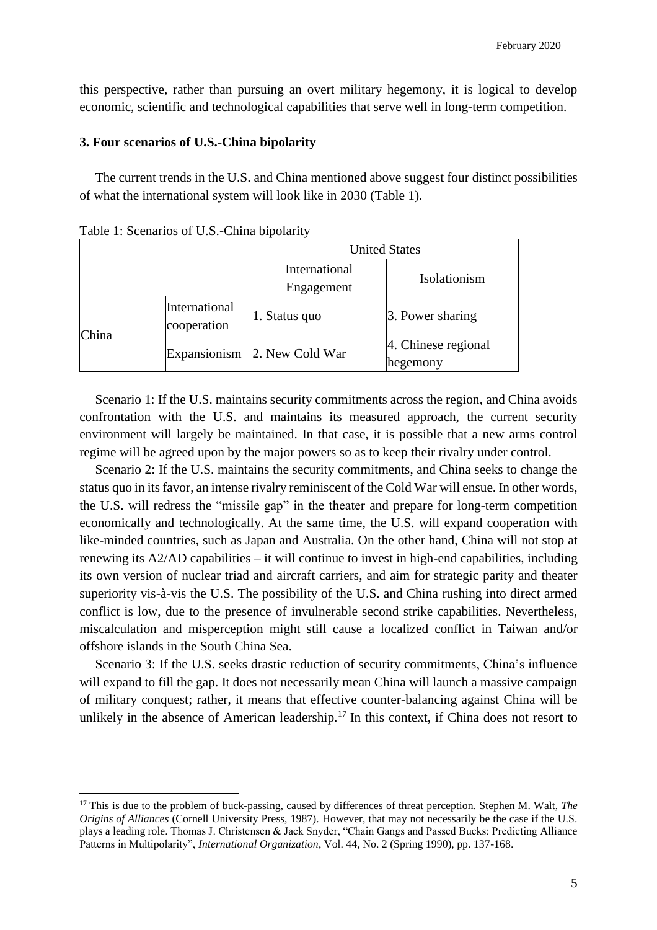this perspective, rather than pursuing an overt military hegemony, it is logical to develop economic, scientific and technological capabilities that serve well in long-term competition.

## **3. Four scenarios of U.S.-China bipolarity**

The current trends in the U.S. and China mentioned above suggest four distinct possibilities of what the international system will look like in 2030 (Table 1).

|       |                              | <b>United States</b>        |                                 |
|-------|------------------------------|-----------------------------|---------------------------------|
|       |                              | International<br>Engagement | Isolationism                    |
| China | International<br>cooperation | 1. Status quo               | 3. Power sharing                |
|       | Expansionism                 | 2. New Cold War             | 4. Chinese regional<br>hegemony |

Table 1: Scenarios of U.S.-China bipolarity

 $\overline{a}$ 

Scenario 1: If the U.S. maintains security commitments across the region, and China avoids confrontation with the U.S. and maintains its measured approach, the current security environment will largely be maintained. In that case, it is possible that a new arms control regime will be agreed upon by the major powers so as to keep their rivalry under control.

Scenario 2: If the U.S. maintains the security commitments, and China seeks to change the status quo in its favor, an intense rivalry reminiscent of the Cold War will ensue. In other words, the U.S. will redress the "missile gap" in the theater and prepare for long-term competition economically and technologically. At the same time, the U.S. will expand cooperation with like-minded countries, such as Japan and Australia. On the other hand, China will not stop at renewing its A2/AD capabilities – it will continue to invest in high-end capabilities, including its own version of nuclear triad and aircraft carriers, and aim for strategic parity and theater superiority vis-à-vis the U.S. The possibility of the U.S. and China rushing into direct armed conflict is low, due to the presence of invulnerable second strike capabilities. Nevertheless, miscalculation and misperception might still cause a localized conflict in Taiwan and/or offshore islands in the South China Sea.

Scenario 3: If the U.S. seeks drastic reduction of security commitments, China's influence will expand to fill the gap. It does not necessarily mean China will launch a massive campaign of military conquest; rather, it means that effective counter-balancing against China will be unlikely in the absence of American leadership.<sup>17</sup> In this context, if China does not resort to

<sup>17</sup> This is due to the problem of buck-passing, caused by differences of threat perception. Stephen M. Walt, *The Origins of Alliances* (Cornell University Press, 1987). However, that may not necessarily be the case if the U.S. plays a leading role. Thomas J. Christensen & Jack Snyder, "Chain Gangs and Passed Bucks: Predicting Alliance Patterns in Multipolarity", *International Organization*, Vol. 44, No. 2 (Spring 1990), pp. 137-168.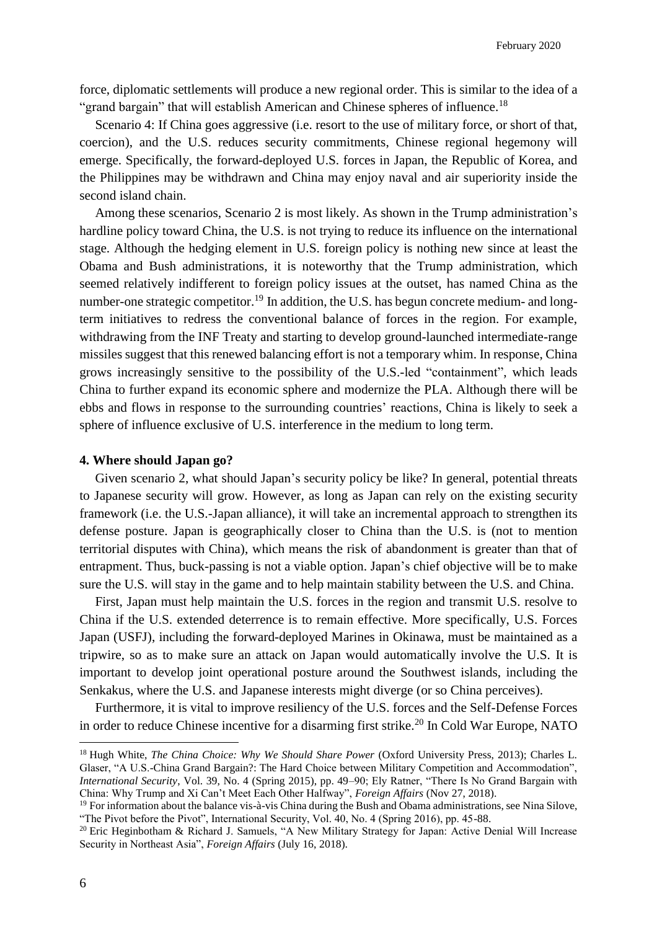force, diplomatic settlements will produce a new regional order. This is similar to the idea of a "grand bargain" that will establish American and Chinese spheres of influence.<sup>18</sup>

Scenario 4: If China goes aggressive (i.e. resort to the use of military force, or short of that, coercion), and the U.S. reduces security commitments, Chinese regional hegemony will emerge. Specifically, the forward-deployed U.S. forces in Japan, the Republic of Korea, and the Philippines may be withdrawn and China may enjoy naval and air superiority inside the second island chain.

Among these scenarios, Scenario 2 is most likely. As shown in the Trump administration's hardline policy toward China, the U.S. is not trying to reduce its influence on the international stage. Although the hedging element in U.S. foreign policy is nothing new since at least the Obama and Bush administrations, it is noteworthy that the Trump administration, which seemed relatively indifferent to foreign policy issues at the outset, has named China as the number-one strategic competitor.<sup>19</sup> In addition, the U.S. has begun concrete medium- and longterm initiatives to redress the conventional balance of forces in the region. For example, withdrawing from the INF Treaty and starting to develop ground-launched intermediate-range missiles suggest that this renewed balancing effort is not a temporary whim. In response, China grows increasingly sensitive to the possibility of the U.S.-led "containment", which leads China to further expand its economic sphere and modernize the PLA. Although there will be ebbs and flows in response to the surrounding countries' reactions, China is likely to seek a sphere of influence exclusive of U.S. interference in the medium to long term.

### **4. Where should Japan go?**

Given scenario 2, what should Japan's security policy be like? In general, potential threats to Japanese security will grow. However, as long as Japan can rely on the existing security framework (i.e. the U.S.-Japan alliance), it will take an incremental approach to strengthen its defense posture. Japan is geographically closer to China than the U.S. is (not to mention territorial disputes with China), which means the risk of abandonment is greater than that of entrapment. Thus, buck-passing is not a viable option. Japan's chief objective will be to make sure the U.S. will stay in the game and to help maintain stability between the U.S. and China.

First, Japan must help maintain the U.S. forces in the region and transmit U.S. resolve to China if the U.S. extended deterrence is to remain effective. More specifically, U.S. Forces Japan (USFJ), including the forward-deployed Marines in Okinawa, must be maintained as a tripwire, so as to make sure an attack on Japan would automatically involve the U.S. It is important to develop joint operational posture around the Southwest islands, including the Senkakus, where the U.S. and Japanese interests might diverge (or so China perceives).

Furthermore, it is vital to improve resiliency of the U.S. forces and the Self-Defense Forces in order to reduce Chinese incentive for a disarming first strike.<sup>20</sup> In Cold War Europe, NATO

<sup>&</sup>lt;sup>18</sup> Hugh White, *The China Choice: Why We Should Share Power* (Oxford University Press, 2013); Charles L. Glaser, "A U.S.-China Grand Bargain?: The Hard Choice between Military Competition and Accommodation", *International Security*, Vol. 39, No. 4 (Spring 2015), pp. 49–90; Ely Ratner, "There Is No Grand Bargain with China: Why Trump and Xi Can't Meet Each Other Halfway", *Foreign Affairs* (Nov 27, 2018).

<sup>&</sup>lt;sup>19</sup> For information about the balance vis-à-vis China during the Bush and Obama administrations, see Nina Silove, "The Pivot before the Pivot", International Security, Vol. 40, No. 4 (Spring 2016), pp. 45-88.

<sup>&</sup>lt;sup>20</sup> Eric Heginbotham & Richard J. Samuels, "A New Military Strategy for Japan: Active Denial Will Increase Security in Northeast Asia", *Foreign Affairs* (July 16, 2018).